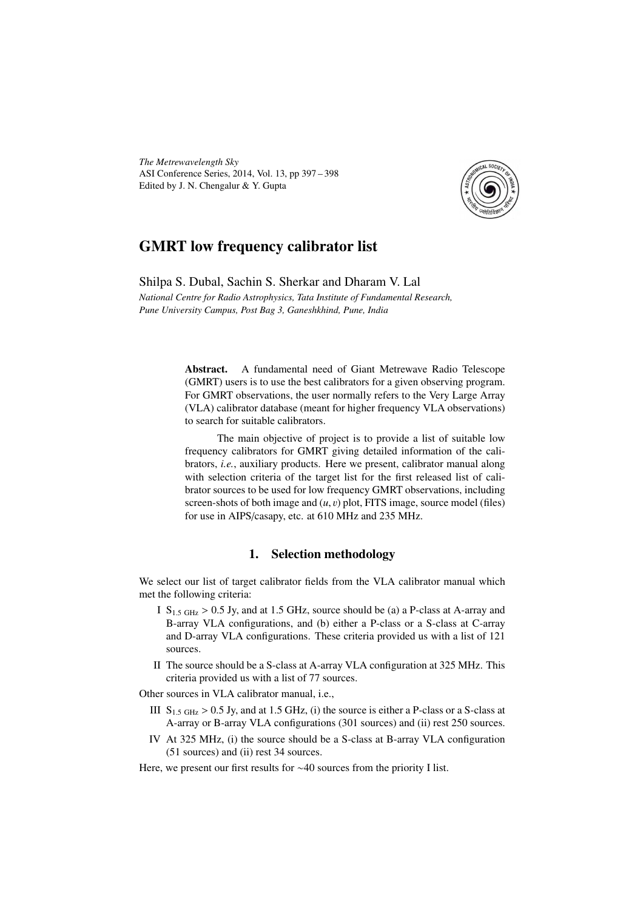*The Metrewavelength Sky* ASI Conference Series, 2014, Vol. 13, pp 397 – 398 Edited by J. N. Chengalur & Y. Gupta



## GMRT low frequency calibrator list

Shilpa S. Dubal, Sachin S. Sherkar and Dharam V. Lal

*National Centre for Radio Astrophysics, Tata Institute of Fundamental Research, Pune University Campus, Post Bag 3, Ganeshkhind, Pune, India*

> Abstract. A fundamental need of Giant Metrewave Radio Telescope (GMRT) users is to use the best calibrators for a given observing program. For GMRT observations, the user normally refers to the Very Large Array (VLA) calibrator database (meant for higher frequency VLA observations) to search for suitable calibrators.

> The main objective of project is to provide a list of suitable low frequency calibrators for GMRT giving detailed information of the calibrators, *i.e.*, auxiliary products. Here we present, calibrator manual along with selection criteria of the target list for the first released list of calibrator sources to be used for low frequency GMRT observations, including screen-shots of both image and  $(u, v)$  plot, FITS image, source model (files) for use in AIPS/casapy, etc. at 610 MHz and 235 MHz.

## 1. Selection methodology

We select our list of target calibrator fields from the VLA calibrator manual which met the following criteria:

- I  $S_{1.5 \text{ GHz}} > 0.5 \text{ Jy}$ , and at 1.5 GHz, source should be (a) a P-class at A-array and B-array VLA configurations, and (b) either a P-class or a S-class at C-array and D-array VLA configurations. These criteria provided us with a list of 121 sources.
- II The source should be a S-class at A-array VLA configuration at 325 MHz. This criteria provided us with a list of 77 sources.

Other sources in VLA calibrator manual, i.e.,

- III  $S_{1.5 \text{ GHz}} > 0.5 \text{ Jy}$ , and at 1.5 GHz, (i) the source is either a P-class or a S-class at A-array or B-array VLA configurations (301 sources) and (ii) rest 250 sources.
- IV At 325 MHz, (i) the source should be a S-class at B-array VLA configuration (51 sources) and (ii) rest 34 sources.

Here, we present our first results for ∼40 sources from the priority I list.